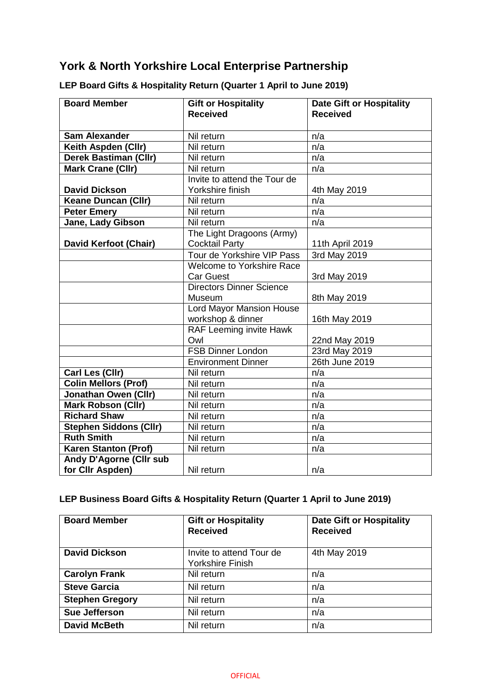# **York & North Yorkshire Local Enterprise Partnership**

| <b>Board Member</b>            | <b>Gift or Hospitality</b><br><b>Received</b>      | <b>Date Gift or Hospitality</b><br><b>Received</b> |
|--------------------------------|----------------------------------------------------|----------------------------------------------------|
| <b>Sam Alexander</b>           | Nil return                                         | n/a                                                |
| Keith Aspden (Cllr)            | Nil return                                         | n/a                                                |
| <b>Derek Bastiman (Cllr)</b>   | Nil return                                         | n/a                                                |
| <b>Mark Crane (Cllr)</b>       | Nil return                                         | n/a                                                |
|                                | Invite to attend the Tour de                       |                                                    |
| <b>David Dickson</b>           | Yorkshire finish                                   | 4th May 2019                                       |
| <b>Keane Duncan (Cllr)</b>     | Nil return                                         | n/a                                                |
| <b>Peter Emery</b>             | Nil return                                         | n/a                                                |
| <b>Jane, Lady Gibson</b>       | Nil return                                         | n/a                                                |
| David Kerfoot (Chair)          | The Light Dragoons (Army)<br><b>Cocktail Party</b> | 11th April 2019                                    |
|                                | Tour de Yorkshire VIP Pass                         | 3rd May 2019                                       |
|                                | <b>Welcome to Yorkshire Race</b>                   |                                                    |
|                                | <b>Car Guest</b>                                   | 3rd May 2019                                       |
|                                | <b>Directors Dinner Science</b>                    |                                                    |
|                                | Museum                                             | 8th May 2019                                       |
|                                | <b>Lord Mayor Mansion House</b>                    |                                                    |
|                                | workshop & dinner                                  | 16th May 2019                                      |
|                                | RAF Leeming invite Hawk                            |                                                    |
|                                | Owl                                                | 22nd May 2019                                      |
|                                | <b>FSB Dinner London</b>                           | 23rd May 2019                                      |
|                                | <b>Environment Dinner</b>                          | 26th June 2019                                     |
| Carl Les (Cllr)                | Nil return                                         | n/a                                                |
| <b>Colin Mellors (Prof)</b>    | Nil return                                         | n/a                                                |
| Jonathan Owen (Cllr)           | Nil return                                         | n/a                                                |
| <b>Mark Robson (Cllr)</b>      | Nil return                                         | n/a                                                |
| <b>Richard Shaw</b>            | Nil return                                         | n/a                                                |
| <b>Stephen Siddons (Cllr)</b>  | Nil return                                         | n/a                                                |
| <b>Ruth Smith</b>              | Nil return                                         | n/a                                                |
| <b>Karen Stanton (Prof)</b>    | Nil return                                         | n/a                                                |
| <b>Andy D'Agorne (CIIr sub</b> |                                                    |                                                    |
| for Cllr Aspden)               | Nil return                                         | n/a                                                |

## **LEP Board Gifts & Hospitality Return (Quarter 1 April to June 2019)**

## **LEP Business Board Gifts & Hospitality Return (Quarter 1 April to June 2019)**

| <b>Board Member</b>    | <b>Gift or Hospitality</b><br><b>Received</b>       | <b>Date Gift or Hospitality</b><br><b>Received</b> |
|------------------------|-----------------------------------------------------|----------------------------------------------------|
| <b>David Dickson</b>   | Invite to attend Tour de<br><b>Yorkshire Finish</b> | 4th May 2019                                       |
| <b>Carolyn Frank</b>   | Nil return                                          | n/a                                                |
| <b>Steve Garcia</b>    | Nil return                                          | n/a                                                |
| <b>Stephen Gregory</b> | Nil return                                          | n/a                                                |
| Sue Jefferson          | Nil return                                          | n/a                                                |
| <b>David McBeth</b>    | Nil return                                          | n/a                                                |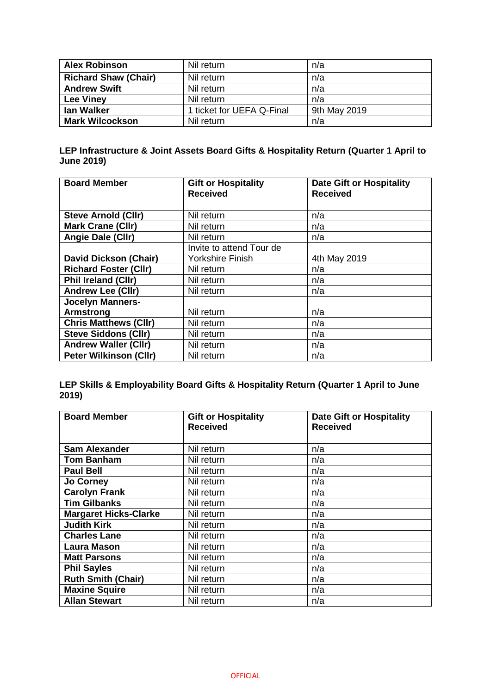| <b>Alex Robinson</b>        | Nil return                | n/a          |
|-----------------------------|---------------------------|--------------|
| <b>Richard Shaw (Chair)</b> | Nil return                | n/a          |
| <b>Andrew Swift</b>         | Nil return                | n/a          |
| <b>Lee Viney</b>            | Nil return                | n/a          |
| lan Walker                  | 1 ticket for UEFA Q-Final | 9th May 2019 |
| <b>Mark Wilcockson</b>      | Nil return                | n/a          |

#### **LEP Infrastructure & Joint Assets Board Gifts & Hospitality Return (Quarter 1 April to June 2019)**

| <b>Board Member</b>           | <b>Gift or Hospitality</b> | <b>Date Gift or Hospitality</b> |
|-------------------------------|----------------------------|---------------------------------|
|                               | <b>Received</b>            | <b>Received</b>                 |
|                               |                            |                                 |
| <b>Steve Arnold (CIIr)</b>    | Nil return                 | n/a                             |
| <b>Mark Crane (Cllr)</b>      | Nil return                 | n/a                             |
| Angie Dale (Cllr)             | Nil return                 | n/a                             |
|                               | Invite to attend Tour de   |                                 |
| <b>David Dickson (Chair)</b>  | <b>Yorkshire Finish</b>    | 4th May 2019                    |
| <b>Richard Foster (Cllr)</b>  | Nil return                 | n/a                             |
| <b>Phil Ireland (CIIr)</b>    | Nil return                 | n/a                             |
| <b>Andrew Lee (Cllr)</b>      | Nil return                 | n/a                             |
| <b>Jocelyn Manners-</b>       |                            |                                 |
| <b>Armstrong</b>              | Nil return                 | n/a                             |
| <b>Chris Matthews (Cllr)</b>  | Nil return                 | n/a                             |
| <b>Steve Siddons (Cllr)</b>   | Nil return                 | n/a                             |
| <b>Andrew Waller (Cllr)</b>   | Nil return                 | n/a                             |
| <b>Peter Wilkinson (Cllr)</b> | Nil return                 | n/a                             |

**LEP Skills & Employability Board Gifts & Hospitality Return (Quarter 1 April to June 2019)**

| <b>Board Member</b>          | <b>Gift or Hospitality</b><br><b>Received</b> | <b>Date Gift or Hospitality</b><br><b>Received</b> |
|------------------------------|-----------------------------------------------|----------------------------------------------------|
|                              |                                               |                                                    |
| <b>Sam Alexander</b>         | Nil return                                    | n/a                                                |
| <b>Tom Banham</b>            | Nil return                                    | n/a                                                |
| <b>Paul Bell</b>             | Nil return                                    | n/a                                                |
| <b>Jo Corney</b>             | Nil return                                    | n/a                                                |
| <b>Carolyn Frank</b>         | Nil return                                    | n/a                                                |
| <b>Tim Gilbanks</b>          | Nil return                                    | n/a                                                |
| <b>Margaret Hicks-Clarke</b> | Nil return                                    | n/a                                                |
| <b>Judith Kirk</b>           | Nil return                                    | n/a                                                |
| <b>Charles Lane</b>          | Nil return                                    | n/a                                                |
| <b>Laura Mason</b>           | Nil return                                    | n/a                                                |
| <b>Matt Parsons</b>          | Nil return                                    | n/a                                                |
| <b>Phil Sayles</b>           | Nil return                                    | n/a                                                |
| Ruth Smith (Chair)           | Nil return                                    | n/a                                                |
| <b>Maxine Squire</b>         | Nil return                                    | n/a                                                |
| <b>Allan Stewart</b>         | Nil return                                    | n/a                                                |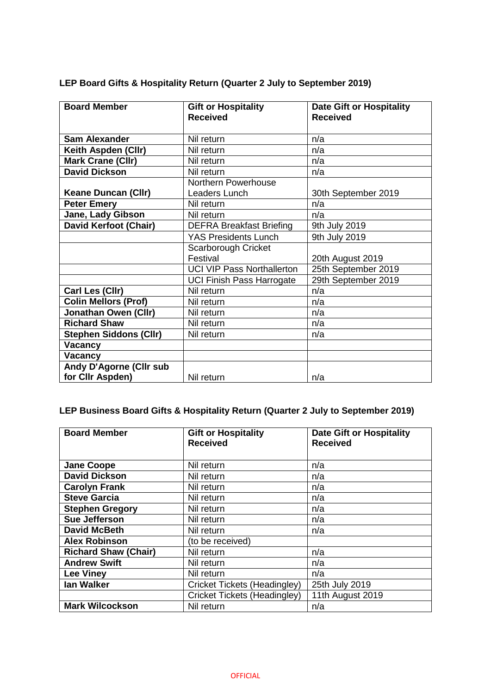| <b>Board Member</b>           | <b>Gift or Hospitality</b>        | <b>Date Gift or Hospitality</b> |
|-------------------------------|-----------------------------------|---------------------------------|
|                               | <b>Received</b>                   | <b>Received</b>                 |
|                               |                                   |                                 |
| <b>Sam Alexander</b>          | Nil return                        | n/a                             |
| Keith Aspden (Cllr)           | Nil return                        | n/a                             |
| <b>Mark Crane (Cllr)</b>      | Nil return                        | n/a                             |
| <b>David Dickson</b>          | Nil return                        | n/a                             |
|                               | Northern Powerhouse               |                                 |
| <b>Keane Duncan (Cllr)</b>    | Leaders Lunch                     | 30th September 2019             |
| <b>Peter Emery</b>            | Nil return                        | n/a                             |
| Jane, Lady Gibson             | Nil return                        | n/a                             |
| <b>David Kerfoot (Chair)</b>  | <b>DEFRA Breakfast Briefing</b>   | 9th July 2019                   |
|                               | <b>YAS Presidents Lunch</b>       | 9th July 2019                   |
|                               | Scarborough Cricket               |                                 |
|                               | Festival                          | 20th August 2019                |
|                               | <b>UCI VIP Pass Northallerton</b> | 25th September 2019             |
|                               | <b>UCI Finish Pass Harrogate</b>  | 29th September 2019             |
| Carl Les (Cllr)               | Nil return                        | n/a                             |
| <b>Colin Mellors (Prof)</b>   | Nil return                        | n/a                             |
| <b>Jonathan Owen (Cllr)</b>   | Nil return                        | n/a                             |
| <b>Richard Shaw</b>           | Nil return                        | n/a                             |
| <b>Stephen Siddons (Cllr)</b> | Nil return                        | n/a                             |
| Vacancy                       |                                   |                                 |
| Vacancy                       |                                   |                                 |
| Andy D'Agorne (Cllr sub       |                                   |                                 |
| for Cllr Aspden)              | Nil return                        | n/a                             |

**LEP Board Gifts & Hospitality Return (Quarter 2 July to September 2019)**

## **LEP Business Board Gifts & Hospitality Return (Quarter 2 July to September 2019)**

| <b>Board Member</b>         | <b>Gift or Hospitality</b>   | <b>Date Gift or Hospitality</b> |
|-----------------------------|------------------------------|---------------------------------|
|                             | <b>Received</b>              | <b>Received</b>                 |
|                             |                              |                                 |
| <b>Jane Coope</b>           | Nil return                   | n/a                             |
| <b>David Dickson</b>        | Nil return                   | n/a                             |
| <b>Carolyn Frank</b>        | Nil return                   | n/a                             |
| <b>Steve Garcia</b>         | Nil return                   | n/a                             |
| <b>Stephen Gregory</b>      | Nil return                   | n/a                             |
| Sue Jefferson               | Nil return                   | n/a                             |
| <b>David McBeth</b>         | Nil return                   | n/a                             |
| <b>Alex Robinson</b>        | (to be received)             |                                 |
| <b>Richard Shaw (Chair)</b> | Nil return                   | n/a                             |
| <b>Andrew Swift</b>         | Nil return                   | n/a                             |
| <b>Lee Viney</b>            | Nil return                   | n/a                             |
| lan Walker                  | Cricket Tickets (Headingley) | 25th July 2019                  |
|                             | Cricket Tickets (Headingley) | 11th August 2019                |
| <b>Mark Wilcockson</b>      | Nil return                   | n/a                             |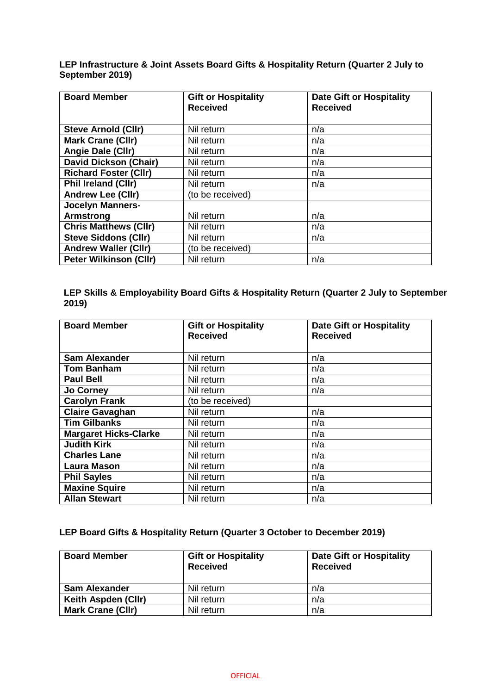**LEP Infrastructure & Joint Assets Board Gifts & Hospitality Return (Quarter 2 July to September 2019)**

| <b>Board Member</b>           | <b>Gift or Hospitality</b><br><b>Received</b> | <b>Date Gift or Hospitality</b><br><b>Received</b> |
|-------------------------------|-----------------------------------------------|----------------------------------------------------|
| <b>Steve Arnold (CIIr)</b>    | Nil return                                    | n/a                                                |
| <b>Mark Crane (Cllr)</b>      | Nil return                                    | n/a                                                |
| Angie Dale (Cllr)             | Nil return                                    | n/a                                                |
| <b>David Dickson (Chair)</b>  | Nil return                                    | n/a                                                |
| <b>Richard Foster (Cllr)</b>  | Nil return                                    | n/a                                                |
| <b>Phil Ireland (CIIr)</b>    | Nil return                                    | n/a                                                |
| <b>Andrew Lee (Cllr)</b>      | (to be received)                              |                                                    |
| <b>Jocelyn Manners-</b>       |                                               |                                                    |
| <b>Armstrong</b>              | Nil return                                    | n/a                                                |
| <b>Chris Matthews (CIIr)</b>  | Nil return                                    | n/a                                                |
| <b>Steve Siddons (Cllr)</b>   | Nil return                                    | n/a                                                |
| <b>Andrew Waller (Cllr)</b>   | (to be received)                              |                                                    |
| <b>Peter Wilkinson (Cllr)</b> | Nil return                                    | n/a                                                |

**LEP Skills & Employability Board Gifts & Hospitality Return (Quarter 2 July to September 2019)**

| <b>Board Member</b>          | <b>Gift or Hospitality</b><br><b>Received</b> | <b>Date Gift or Hospitality</b><br><b>Received</b> |
|------------------------------|-----------------------------------------------|----------------------------------------------------|
|                              |                                               |                                                    |
| <b>Sam Alexander</b>         | Nil return                                    | n/a                                                |
| <b>Tom Banham</b>            | Nil return                                    | n/a                                                |
| <b>Paul Bell</b>             | Nil return                                    | n/a                                                |
| <b>Jo Corney</b>             | Nil return                                    | n/a                                                |
| <b>Carolyn Frank</b>         | (to be received)                              |                                                    |
| <b>Claire Gavaghan</b>       | Nil return                                    | n/a                                                |
| <b>Tim Gilbanks</b>          | Nil return                                    | n/a                                                |
| <b>Margaret Hicks-Clarke</b> | Nil return                                    | n/a                                                |
| <b>Judith Kirk</b>           | Nil return                                    | n/a                                                |
| <b>Charles Lane</b>          | Nil return                                    | n/a                                                |
| <b>Laura Mason</b>           | Nil return                                    | n/a                                                |
| <b>Phil Sayles</b>           | Nil return                                    | n/a                                                |
| <b>Maxine Squire</b>         | Nil return                                    | n/a                                                |
| <b>Allan Stewart</b>         | Nil return                                    | n/a                                                |

### **LEP Board Gifts & Hospitality Return (Quarter 3 October to December 2019)**

| <b>Board Member</b>      | <b>Gift or Hospitality</b><br><b>Received</b> | <b>Date Gift or Hospitality</b><br><b>Received</b> |
|--------------------------|-----------------------------------------------|----------------------------------------------------|
| <b>Sam Alexander</b>     | Nil return                                    | n/a                                                |
| Keith Aspden (CIIr)      | Nil return                                    | n/a                                                |
| <b>Mark Crane (Cllr)</b> | Nil return                                    | n/a                                                |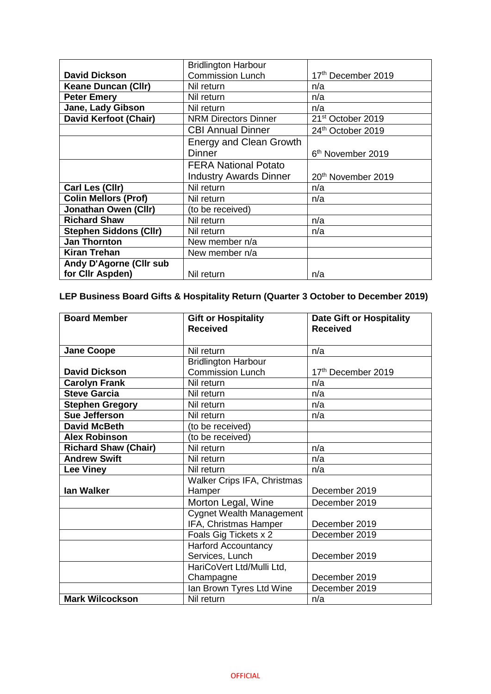|                               | <b>Bridlington Harbour</b>     |                                |
|-------------------------------|--------------------------------|--------------------------------|
| <b>David Dickson</b>          | <b>Commission Lunch</b>        | 17th December 2019             |
| <b>Keane Duncan (Cllr)</b>    | Nil return                     | n/a                            |
| <b>Peter Emery</b>            | Nil return                     | n/a                            |
| Jane, Lady Gibson             | Nil return                     | n/a                            |
| <b>David Kerfoot (Chair)</b>  | <b>NRM Directors Dinner</b>    | 21 <sup>st</sup> October 2019  |
|                               | <b>CBI Annual Dinner</b>       | 24th October 2019              |
|                               | <b>Energy and Clean Growth</b> |                                |
|                               | <b>Dinner</b>                  | 6 <sup>th</sup> November 2019  |
|                               | <b>FERA National Potato</b>    |                                |
|                               | <b>Industry Awards Dinner</b>  | 20 <sup>th</sup> November 2019 |
| Carl Les (Cllr)               | Nil return                     | n/a                            |
| <b>Colin Mellors (Prof)</b>   | Nil return                     | n/a                            |
| <b>Jonathan Owen (Cllr)</b>   | (to be received)               |                                |
| <b>Richard Shaw</b>           | Nil return                     | n/a                            |
| <b>Stephen Siddons (Cllr)</b> | Nil return                     | n/a                            |
| <b>Jan Thornton</b>           | New member n/a                 |                                |
| <b>Kiran Trehan</b>           | New member n/a                 |                                |
| Andy D'Agorne (Cllr sub       |                                |                                |
| for Cllr Aspden)              | Nil return                     | n/a                            |

# **LEP Business Board Gifts & Hospitality Return (Quarter 3 October to December 2019)**

| <b>Board Member</b>         | <b>Gift or Hospitality</b><br><b>Received</b> | <b>Date Gift or Hospitality</b><br><b>Received</b> |
|-----------------------------|-----------------------------------------------|----------------------------------------------------|
|                             |                                               |                                                    |
| <b>Jane Coope</b>           | Nil return                                    | n/a                                                |
|                             | <b>Bridlington Harbour</b>                    |                                                    |
| <b>David Dickson</b>        | <b>Commission Lunch</b>                       | 17th December 2019                                 |
| <b>Carolyn Frank</b>        | Nil return                                    | n/a                                                |
| <b>Steve Garcia</b>         | Nil return                                    | n/a                                                |
| <b>Stephen Gregory</b>      | Nil return                                    | n/a                                                |
| Sue Jefferson               | Nil return                                    | n/a                                                |
| <b>David McBeth</b>         | (to be received)                              |                                                    |
| <b>Alex Robinson</b>        | (to be received)                              |                                                    |
| <b>Richard Shaw (Chair)</b> | Nil return                                    | n/a                                                |
| <b>Andrew Swift</b>         | Nil return                                    | n/a                                                |
| <b>Lee Viney</b>            | Nil return                                    | n/a                                                |
|                             | <b>Walker Crips IFA, Christmas</b>            |                                                    |
| lan Walker                  | Hamper                                        | December 2019                                      |
|                             | Morton Legal, Wine                            | December 2019                                      |
|                             | <b>Cygnet Wealth Management</b>               |                                                    |
|                             | IFA, Christmas Hamper                         | December 2019                                      |
|                             | Foals Gig Tickets x 2                         | December 2019                                      |
|                             | <b>Harford Accountancy</b>                    |                                                    |
|                             | Services, Lunch                               | December 2019                                      |
|                             | HariCoVert Ltd/Mulli Ltd,                     |                                                    |
|                             | Champagne                                     | December 2019                                      |
|                             | Ian Brown Tyres Ltd Wine                      | December 2019                                      |
| <b>Mark Wilcockson</b>      | Nil return                                    | n/a                                                |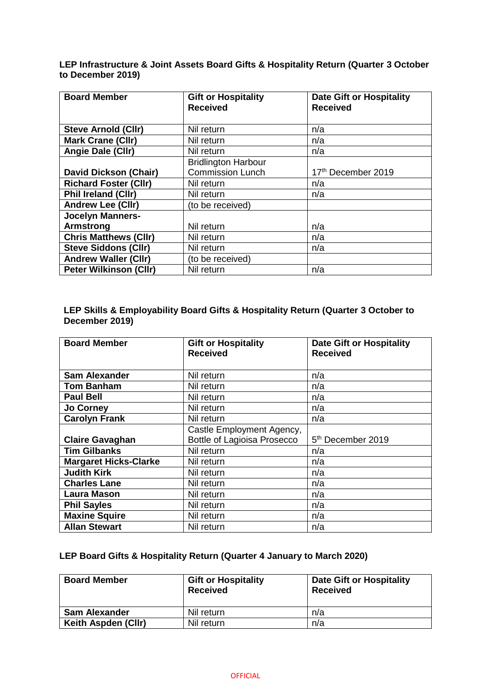**LEP Infrastructure & Joint Assets Board Gifts & Hospitality Return (Quarter 3 October to December 2019)**

| <b>Board Member</b>           | <b>Gift or Hospitality</b> | <b>Date Gift or Hospitality</b> |
|-------------------------------|----------------------------|---------------------------------|
|                               | <b>Received</b>            | <b>Received</b>                 |
| <b>Steve Arnold (Cllr)</b>    | Nil return                 | n/a                             |
| <b>Mark Crane (Cllr)</b>      | Nil return                 | n/a                             |
| Angie Dale (Cllr)             | Nil return                 | n/a                             |
|                               | <b>Bridlington Harbour</b> |                                 |
| <b>David Dickson (Chair)</b>  | <b>Commission Lunch</b>    | 17th December 2019              |
| <b>Richard Foster (Cllr)</b>  | Nil return                 | n/a                             |
| <b>Phil Ireland (CIIr)</b>    | Nil return                 | n/a                             |
| <b>Andrew Lee (Cllr)</b>      | (to be received)           |                                 |
| <b>Jocelyn Manners-</b>       |                            |                                 |
| <b>Armstrong</b>              | Nil return                 | n/a                             |
| <b>Chris Matthews (CIIr)</b>  | Nil return                 | n/a                             |
| <b>Steve Siddons (Cllr)</b>   | Nil return                 | n/a                             |
| <b>Andrew Waller (Cllr)</b>   | (to be received)           |                                 |
| <b>Peter Wilkinson (Cllr)</b> | Nil return                 | n/a                             |

#### **LEP Skills & Employability Board Gifts & Hospitality Return (Quarter 3 October to December 2019)**

| <b>Board Member</b>          | <b>Gift or Hospitality</b><br><b>Received</b> | <b>Date Gift or Hospitality</b><br><b>Received</b> |
|------------------------------|-----------------------------------------------|----------------------------------------------------|
|                              |                                               |                                                    |
| <b>Sam Alexander</b>         | Nil return                                    | n/a                                                |
| <b>Tom Banham</b>            | Nil return                                    | n/a                                                |
| <b>Paul Bell</b>             | Nil return                                    | n/a                                                |
| <b>Jo Corney</b>             | Nil return                                    | n/a                                                |
| <b>Carolyn Frank</b>         | Nil return                                    | n/a                                                |
|                              | Castle Employment Agency,                     |                                                    |
| <b>Claire Gavaghan</b>       | <b>Bottle of Lagioisa Prosecco</b>            | 5 <sup>th</sup> December 2019                      |
| <b>Tim Gilbanks</b>          | Nil return                                    | n/a                                                |
| <b>Margaret Hicks-Clarke</b> | Nil return                                    | n/a                                                |
| <b>Judith Kirk</b>           | Nil return                                    | n/a                                                |
| <b>Charles Lane</b>          | Nil return                                    | n/a                                                |
| <b>Laura Mason</b>           | Nil return                                    | n/a                                                |
| <b>Phil Sayles</b>           | Nil return                                    | n/a                                                |
| <b>Maxine Squire</b>         | Nil return                                    | n/a                                                |
| <b>Allan Stewart</b>         | Nil return                                    | n/a                                                |

### **LEP Board Gifts & Hospitality Return (Quarter 4 January to March 2020)**

| <b>Board Member</b>  | <b>Gift or Hospitality</b><br><b>Received</b> | <b>Date Gift or Hospitality</b><br><b>Received</b> |
|----------------------|-----------------------------------------------|----------------------------------------------------|
| <b>Sam Alexander</b> | Nil return                                    | n/a                                                |
| Keith Aspden (CIIr)  | Nil return                                    | n/a                                                |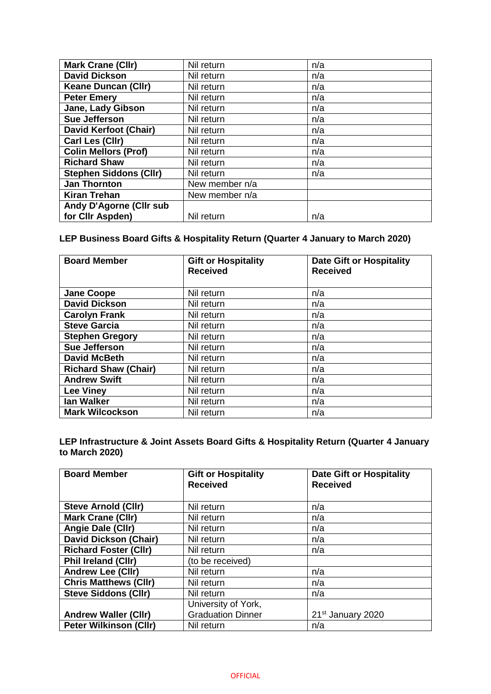| <b>Mark Crane (Cllr)</b>      | Nil return     | n/a |
|-------------------------------|----------------|-----|
| <b>David Dickson</b>          | Nil return     | n/a |
| <b>Keane Duncan (Cllr)</b>    | Nil return     | n/a |
| <b>Peter Emery</b>            | Nil return     | n/a |
| Jane, Lady Gibson             | Nil return     | n/a |
| Sue Jefferson                 | Nil return     | n/a |
| <b>David Kerfoot (Chair)</b>  | Nil return     | n/a |
| Carl Les (Cllr)               | Nil return     | n/a |
| <b>Colin Mellors (Prof)</b>   | Nil return     | n/a |
| <b>Richard Shaw</b>           | Nil return     | n/a |
| <b>Stephen Siddons (Cllr)</b> | Nil return     | n/a |
| <b>Jan Thornton</b>           | New member n/a |     |
| <b>Kiran Trehan</b>           | New member n/a |     |
| Andy D'Agorne (Cllr sub       |                |     |
| for Cllr Aspden)              | Nil return     | n/a |

## **LEP Business Board Gifts & Hospitality Return (Quarter 4 January to March 2020)**

| <b>Board Member</b>         | <b>Gift or Hospitality</b><br><b>Received</b> | <b>Date Gift or Hospitality</b><br><b>Received</b> |
|-----------------------------|-----------------------------------------------|----------------------------------------------------|
| <b>Jane Coope</b>           | Nil return                                    | n/a                                                |
| <b>David Dickson</b>        | Nil return                                    | n/a                                                |
| <b>Carolyn Frank</b>        | Nil return                                    | n/a                                                |
| <b>Steve Garcia</b>         | Nil return                                    | n/a                                                |
| <b>Stephen Gregory</b>      | Nil return                                    | n/a                                                |
| <b>Sue Jefferson</b>        | Nil return                                    | n/a                                                |
| <b>David McBeth</b>         | Nil return                                    | n/a                                                |
| <b>Richard Shaw (Chair)</b> | Nil return                                    | n/a                                                |
| <b>Andrew Swift</b>         | Nil return                                    | n/a                                                |
| <b>Lee Viney</b>            | Nil return                                    | n/a                                                |
| lan Walker                  | Nil return                                    | n/a                                                |
| <b>Mark Wilcockson</b>      | Nil return                                    | n/a                                                |

**LEP Infrastructure & Joint Assets Board Gifts & Hospitality Return (Quarter 4 January to March 2020)**

| <b>Board Member</b>           | <b>Gift or Hospitality</b><br><b>Received</b> | <b>Date Gift or Hospitality</b><br><b>Received</b> |
|-------------------------------|-----------------------------------------------|----------------------------------------------------|
|                               |                                               |                                                    |
| <b>Steve Arnold (CIIr)</b>    | Nil return                                    | n/a                                                |
| <b>Mark Crane (Cllr)</b>      | Nil return                                    | n/a                                                |
| Angie Dale (Cllr)             | Nil return                                    | n/a                                                |
| <b>David Dickson (Chair)</b>  | Nil return                                    | n/a                                                |
| <b>Richard Foster (Cllr)</b>  | Nil return                                    | n/a                                                |
| <b>Phil Ireland (CIIr)</b>    | (to be received)                              |                                                    |
| <b>Andrew Lee (Cllr)</b>      | Nil return                                    | n/a                                                |
| <b>Chris Matthews (CIIr)</b>  | Nil return                                    | n/a                                                |
| <b>Steve Siddons (CIIr)</b>   | Nil return                                    | n/a                                                |
|                               | University of York,                           |                                                    |
| <b>Andrew Waller (Cllr)</b>   | <b>Graduation Dinner</b>                      | 21 <sup>st</sup> January 2020                      |
| <b>Peter Wilkinson (Cllr)</b> | Nil return                                    | n/a                                                |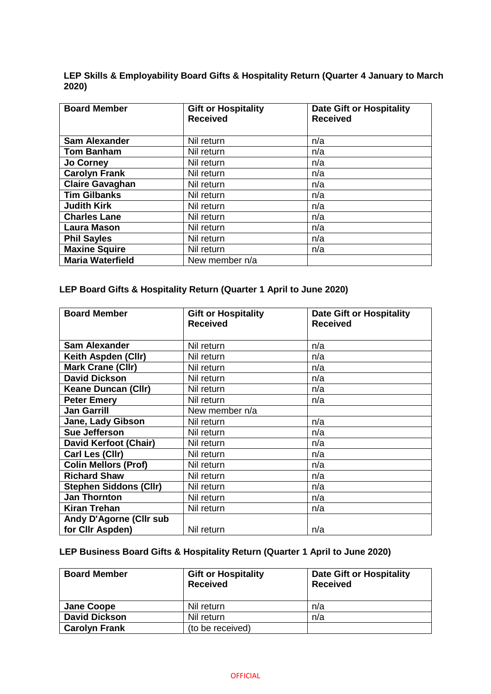|       | LEP Skills & Employability Board Gifts & Hospitality Return (Quarter 4 January to March |  |  |
|-------|-----------------------------------------------------------------------------------------|--|--|
| 2020) |                                                                                         |  |  |

| <b>Board Member</b>     | <b>Gift or Hospitality</b><br><b>Received</b> | <b>Date Gift or Hospitality</b><br><b>Received</b> |
|-------------------------|-----------------------------------------------|----------------------------------------------------|
| <b>Sam Alexander</b>    | Nil return                                    | n/a                                                |
| <b>Tom Banham</b>       | Nil return                                    | n/a                                                |
| <b>Jo Corney</b>        | Nil return                                    | n/a                                                |
| <b>Carolyn Frank</b>    | Nil return                                    | n/a                                                |
| <b>Claire Gavaghan</b>  | Nil return                                    | n/a                                                |
| <b>Tim Gilbanks</b>     | Nil return                                    | n/a                                                |
| <b>Judith Kirk</b>      | Nil return                                    | n/a                                                |
| <b>Charles Lane</b>     | Nil return                                    | n/a                                                |
| <b>Laura Mason</b>      | Nil return                                    | n/a                                                |
| <b>Phil Sayles</b>      | Nil return                                    | n/a                                                |
| <b>Maxine Squire</b>    | Nil return                                    | n/a                                                |
| <b>Maria Waterfield</b> | New member n/a                                |                                                    |

## **LEP Board Gifts & Hospitality Return (Quarter 1 April to June 2020)**

| <b>Board Member</b>            | <b>Gift or Hospitality</b><br><b>Received</b> | <b>Date Gift or Hospitality</b><br><b>Received</b> |
|--------------------------------|-----------------------------------------------|----------------------------------------------------|
|                                |                                               |                                                    |
| <b>Sam Alexander</b>           | Nil return                                    | n/a                                                |
| Keith Aspden (Cllr)            | Nil return                                    | n/a                                                |
| <b>Mark Crane (Cllr)</b>       | Nil return                                    | n/a                                                |
| <b>David Dickson</b>           | Nil return                                    | n/a                                                |
| <b>Keane Duncan (CIIr)</b>     | Nil return                                    | n/a                                                |
| <b>Peter Emery</b>             | Nil return                                    | n/a                                                |
| <b>Jan Garrill</b>             | New member n/a                                |                                                    |
| Jane, Lady Gibson              | Nil return                                    | n/a                                                |
| <b>Sue Jefferson</b>           | Nil return                                    | n/a                                                |
| <b>David Kerfoot (Chair)</b>   | Nil return                                    | n/a                                                |
| Carl Les (Cllr)                | Nil return                                    | n/a                                                |
| <b>Colin Mellors (Prof)</b>    | Nil return                                    | n/a                                                |
| <b>Richard Shaw</b>            | Nil return                                    | n/a                                                |
| <b>Stephen Siddons (Cllr)</b>  | Nil return                                    | n/a                                                |
| <b>Jan Thornton</b>            | Nil return                                    | n/a                                                |
| <b>Kiran Trehan</b>            | Nil return                                    | n/a                                                |
| <b>Andy D'Agorne (Cllr sub</b> |                                               |                                                    |
| for Cllr Aspden)               | Nil return                                    | n/a                                                |

# **LEP Business Board Gifts & Hospitality Return (Quarter 1 April to June 2020)**

| <b>Board Member</b>  | <b>Gift or Hospitality</b><br><b>Received</b> | <b>Date Gift or Hospitality</b><br><b>Received</b> |
|----------------------|-----------------------------------------------|----------------------------------------------------|
| <b>Jane Coope</b>    | Nil return                                    | n/a                                                |
| <b>David Dickson</b> | Nil return                                    | n/a                                                |
| <b>Carolyn Frank</b> | (to be received)                              |                                                    |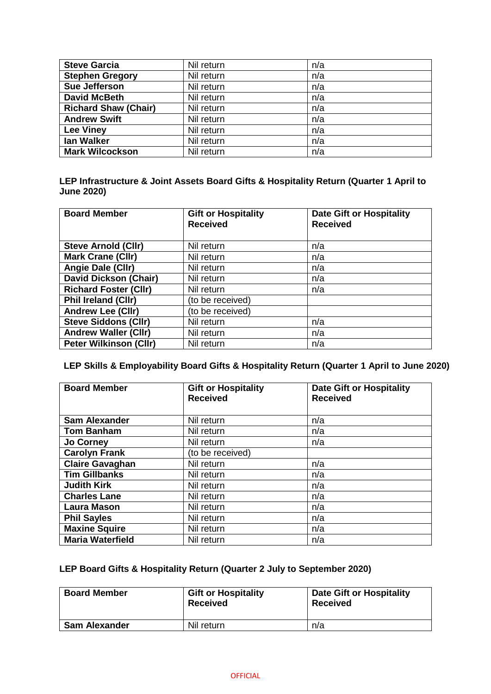| <b>Steve Garcia</b>         | Nil return | n/a |
|-----------------------------|------------|-----|
| <b>Stephen Gregory</b>      | Nil return | n/a |
| Sue Jefferson               | Nil return | n/a |
| <b>David McBeth</b>         | Nil return | n/a |
| <b>Richard Shaw (Chair)</b> | Nil return | n/a |
| <b>Andrew Swift</b>         | Nil return | n/a |
| <b>Lee Viney</b>            | Nil return | n/a |
| lan Walker                  | Nil return | n/a |
| <b>Mark Wilcockson</b>      | Nil return | n/a |

#### **LEP Infrastructure & Joint Assets Board Gifts & Hospitality Return (Quarter 1 April to June 2020)**

| <b>Board Member</b>           | <b>Gift or Hospitality</b><br><b>Received</b> | <b>Date Gift or Hospitality</b><br><b>Received</b> |
|-------------------------------|-----------------------------------------------|----------------------------------------------------|
| <b>Steve Arnold (Cllr)</b>    | Nil return                                    | n/a                                                |
| <b>Mark Crane (Cllr)</b>      | Nil return                                    | n/a                                                |
| Angie Dale (Cllr)             | Nil return                                    | n/a                                                |
| <b>David Dickson (Chair)</b>  | Nil return                                    | n/a                                                |
| <b>Richard Foster (Cllr)</b>  | Nil return                                    | n/a                                                |
| <b>Phil Ireland (CIIr)</b>    | (to be received)                              |                                                    |
| <b>Andrew Lee (CIIr)</b>      | (to be received)                              |                                                    |
| <b>Steve Siddons (Cllr)</b>   | Nil return                                    | n/a                                                |
| <b>Andrew Waller (CIIr)</b>   | Nil return                                    | n/a                                                |
| <b>Peter Wilkinson (Cllr)</b> | Nil return                                    | n/a                                                |

## **LEP Skills & Employability Board Gifts & Hospitality Return (Quarter 1 April to June 2020)**

| <b>Board Member</b>     | <b>Gift or Hospitality</b><br><b>Received</b> | <b>Date Gift or Hospitality</b><br><b>Received</b> |
|-------------------------|-----------------------------------------------|----------------------------------------------------|
| <b>Sam Alexander</b>    | Nil return                                    | n/a                                                |
| <b>Tom Banham</b>       | Nil return                                    | n/a                                                |
| <b>Jo Corney</b>        | Nil return                                    | n/a                                                |
| <b>Carolyn Frank</b>    | (to be received)                              |                                                    |
| <b>Claire Gavaghan</b>  | Nil return                                    | n/a                                                |
| <b>Tim Gillbanks</b>    | Nil return                                    | n/a                                                |
| <b>Judith Kirk</b>      | Nil return                                    | n/a                                                |
| <b>Charles Lane</b>     | Nil return                                    | n/a                                                |
| <b>Laura Mason</b>      | Nil return                                    | n/a                                                |
| <b>Phil Sayles</b>      | Nil return                                    | n/a                                                |
| <b>Maxine Squire</b>    | Nil return                                    | n/a                                                |
| <b>Maria Waterfield</b> | Nil return                                    | n/a                                                |

## **LEP Board Gifts & Hospitality Return (Quarter 2 July to September 2020)**

| <b>Board Member</b>  | <b>Gift or Hospitality</b><br><b>Received</b> | <b>Date Gift or Hospitality</b><br><b>Received</b> |
|----------------------|-----------------------------------------------|----------------------------------------------------|
| <b>Sam Alexander</b> | Nil return                                    | n/a                                                |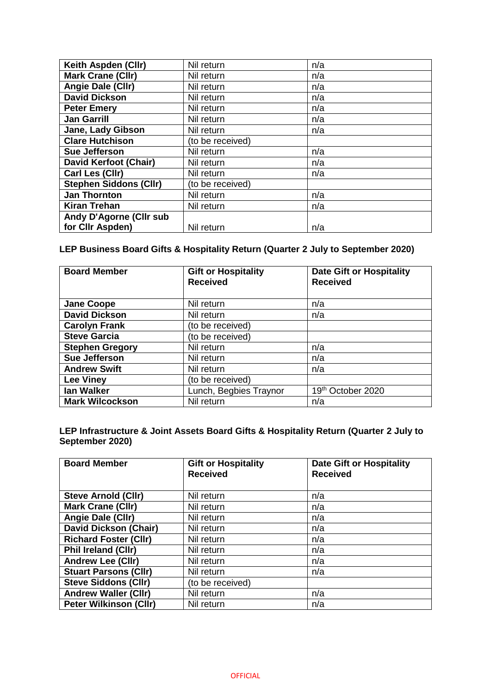| Keith Aspden (Cllr)            | Nil return       | n/a |
|--------------------------------|------------------|-----|
| <b>Mark Crane (Cllr)</b>       | Nil return       | n/a |
| Angie Dale (Cllr)              | Nil return       | n/a |
| <b>David Dickson</b>           | Nil return       | n/a |
| <b>Peter Emery</b>             | Nil return       | n/a |
| <b>Jan Garrill</b>             | Nil return       | n/a |
| Jane, Lady Gibson              | Nil return       | n/a |
| <b>Clare Hutchison</b>         | (to be received) |     |
| <b>Sue Jefferson</b>           | Nil return       | n/a |
| <b>David Kerfoot (Chair)</b>   | Nil return       | n/a |
| Carl Les (Cllr)                | Nil return       | n/a |
| <b>Stephen Siddons (Cllr)</b>  | (to be received) |     |
| <b>Jan Thornton</b>            | Nil return       | n/a |
| <b>Kiran Trehan</b>            | Nil return       | n/a |
| <b>Andy D'Agorne (Cllr sub</b> |                  |     |
| for Cllr Aspden)               | Nil return       | n/a |

## **LEP Business Board Gifts & Hospitality Return (Quarter 2 July to September 2020)**

| <b>Board Member</b>    | <b>Gift or Hospitality</b><br><b>Received</b> | <b>Date Gift or Hospitality</b><br><b>Received</b> |
|------------------------|-----------------------------------------------|----------------------------------------------------|
| <b>Jane Coope</b>      | Nil return                                    | n/a                                                |
| <b>David Dickson</b>   | Nil return                                    | n/a                                                |
| <b>Carolyn Frank</b>   | (to be received)                              |                                                    |
| <b>Steve Garcia</b>    | (to be received)                              |                                                    |
| <b>Stephen Gregory</b> | Nil return                                    | n/a                                                |
| Sue Jefferson          | Nil return                                    | n/a                                                |
| <b>Andrew Swift</b>    | Nil return                                    | n/a                                                |
| <b>Lee Viney</b>       | (to be received)                              |                                                    |
| lan Walker             | Lunch, Begbies Traynor                        | 19th October 2020                                  |
| <b>Mark Wilcockson</b> | Nil return                                    | n/a                                                |

### **LEP Infrastructure & Joint Assets Board Gifts & Hospitality Return (Quarter 2 July to September 2020)**

| <b>Board Member</b>           | <b>Gift or Hospitality</b><br><b>Received</b> | <b>Date Gift or Hospitality</b><br><b>Received</b> |
|-------------------------------|-----------------------------------------------|----------------------------------------------------|
| <b>Steve Arnold (CIIr)</b>    | Nil return                                    | n/a                                                |
| <b>Mark Crane (Cllr)</b>      | Nil return                                    | n/a                                                |
| Angie Dale (Cllr)             | Nil return                                    | n/a                                                |
| <b>David Dickson (Chair)</b>  | Nil return                                    | n/a                                                |
| <b>Richard Foster (Cllr)</b>  | Nil return                                    | n/a                                                |
| <b>Phil Ireland (CIIr)</b>    | Nil return                                    | n/a                                                |
| <b>Andrew Lee (CIIr)</b>      | Nil return                                    | n/a                                                |
| <b>Stuart Parsons (Cllr)</b>  | Nil return                                    | n/a                                                |
| <b>Steve Siddons (CIIr)</b>   | (to be received)                              |                                                    |
| <b>Andrew Waller (Cllr)</b>   | Nil return                                    | n/a                                                |
| <b>Peter Wilkinson (Cllr)</b> | Nil return                                    | n/a                                                |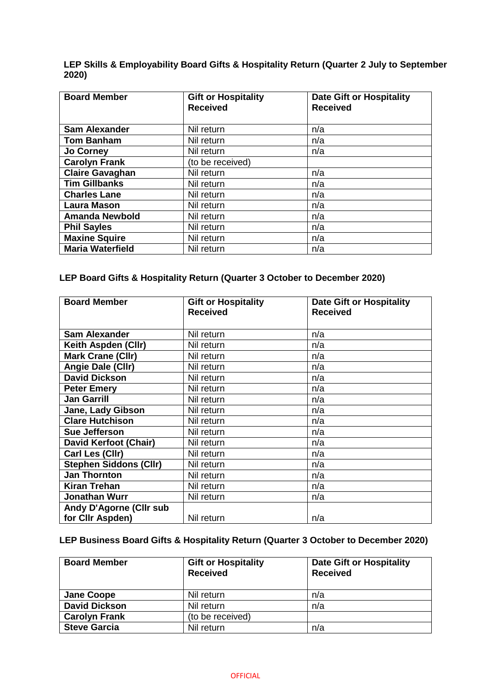**LEP Skills & Employability Board Gifts & Hospitality Return (Quarter 2 July to September 2020)**

| <b>Board Member</b>     | <b>Gift or Hospitality</b><br><b>Received</b> | <b>Date Gift or Hospitality</b><br><b>Received</b> |
|-------------------------|-----------------------------------------------|----------------------------------------------------|
| <b>Sam Alexander</b>    | Nil return                                    | n/a                                                |
| <b>Tom Banham</b>       | Nil return                                    | n/a                                                |
| <b>Jo Corney</b>        | Nil return                                    | n/a                                                |
| <b>Carolyn Frank</b>    | (to be received)                              |                                                    |
| <b>Claire Gavaghan</b>  | Nil return                                    | n/a                                                |
| <b>Tim Gillbanks</b>    | Nil return                                    | n/a                                                |
| <b>Charles Lane</b>     | Nil return                                    | n/a                                                |
| <b>Laura Mason</b>      | Nil return                                    | n/a                                                |
| <b>Amanda Newbold</b>   | Nil return                                    | n/a                                                |
| <b>Phil Sayles</b>      | Nil return                                    | n/a                                                |
| <b>Maxine Squire</b>    | Nil return                                    | n/a                                                |
| <b>Maria Waterfield</b> | Nil return                                    | n/a                                                |

## **LEP Board Gifts & Hospitality Return (Quarter 3 October to December 2020)**

| <b>Board Member</b>            | <b>Gift or Hospitality</b><br><b>Received</b> | <b>Date Gift or Hospitality</b><br><b>Received</b> |
|--------------------------------|-----------------------------------------------|----------------------------------------------------|
|                                |                                               |                                                    |
| <b>Sam Alexander</b>           | Nil return                                    | n/a                                                |
| Keith Aspden (Cllr)            | Nil return                                    | n/a                                                |
| Mark Crane (Cllr)              | Nil return                                    | n/a                                                |
| Angie Dale (Cllr)              | Nil return                                    | n/a                                                |
| <b>David Dickson</b>           | Nil return                                    | n/a                                                |
| <b>Peter Emery</b>             | Nil return                                    | n/a                                                |
| <b>Jan Garrill</b>             | Nil return                                    | n/a                                                |
| Jane, Lady Gibson              | Nil return                                    | n/a                                                |
| <b>Clare Hutchison</b>         | Nil return                                    | n/a                                                |
| <b>Sue Jefferson</b>           | Nil return                                    | n/a                                                |
| David Kerfoot (Chair)          | Nil return                                    | n/a                                                |
| Carl Les (Cllr)                | Nil return                                    | n/a                                                |
| <b>Stephen Siddons (Cllr)</b>  | Nil return                                    | n/a                                                |
| <b>Jan Thornton</b>            | Nil return                                    | n/a                                                |
| <b>Kiran Trehan</b>            | Nil return                                    | n/a                                                |
| <b>Jonathan Wurr</b>           | Nil return                                    | n/a                                                |
| <b>Andy D'Agorne (Cllr sub</b> |                                               |                                                    |
| for Cllr Aspden)               | Nil return                                    | n/a                                                |

## **LEP Business Board Gifts & Hospitality Return (Quarter 3 October to December 2020)**

| <b>Board Member</b>  | <b>Gift or Hospitality</b><br><b>Received</b> | <b>Date Gift or Hospitality</b><br><b>Received</b> |
|----------------------|-----------------------------------------------|----------------------------------------------------|
| <b>Jane Coope</b>    | Nil return                                    | n/a                                                |
| <b>David Dickson</b> | Nil return                                    | n/a                                                |
| <b>Carolyn Frank</b> | (to be received)                              |                                                    |
| <b>Steve Garcia</b>  | Nil return                                    | n/a                                                |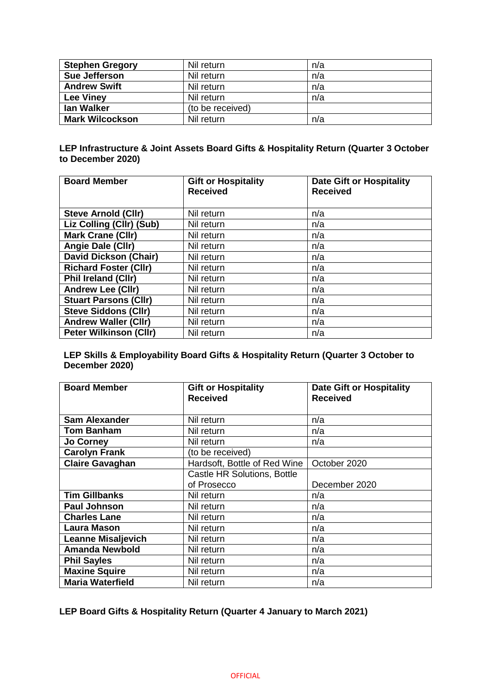| <b>Stephen Gregory</b> | Nil return       | n/a |
|------------------------|------------------|-----|
| Sue Jefferson          | Nil return       | n/a |
| <b>Andrew Swift</b>    | Nil return       | n/a |
| <b>Lee Viney</b>       | Nil return       | n/a |
| <b>lan Walker</b>      | (to be received) |     |
| <b>Mark Wilcockson</b> | Nil return       | n/a |

#### **LEP Infrastructure & Joint Assets Board Gifts & Hospitality Return (Quarter 3 October to December 2020)**

| <b>Board Member</b>           | <b>Gift or Hospitality</b><br><b>Received</b> | <b>Date Gift or Hospitality</b><br><b>Received</b> |
|-------------------------------|-----------------------------------------------|----------------------------------------------------|
| <b>Steve Arnold (Cllr)</b>    | Nil return                                    | n/a                                                |
| Liz Colling (Cllr) (Sub)      | Nil return                                    | n/a                                                |
| <b>Mark Crane (Cllr)</b>      | Nil return                                    | n/a                                                |
| Angie Dale (Cllr)             | Nil return                                    | n/a                                                |
| <b>David Dickson (Chair)</b>  | Nil return                                    | n/a                                                |
| <b>Richard Foster (Cllr)</b>  | Nil return                                    | n/a                                                |
| <b>Phil Ireland (CIIr)</b>    | Nil return                                    | n/a                                                |
| <b>Andrew Lee (Cllr)</b>      | Nil return                                    | n/a                                                |
| <b>Stuart Parsons (Cllr)</b>  | Nil return                                    | n/a                                                |
| <b>Steve Siddons (Cllr)</b>   | Nil return                                    | n/a                                                |
| <b>Andrew Waller (Cllr)</b>   | Nil return                                    | n/a                                                |
| <b>Peter Wilkinson (Cllr)</b> | Nil return                                    | n/a                                                |

#### **LEP Skills & Employability Board Gifts & Hospitality Return (Quarter 3 October to December 2020)**

| <b>Board Member</b>       | <b>Gift or Hospitality</b><br><b>Received</b> | <b>Date Gift or Hospitality</b><br><b>Received</b> |
|---------------------------|-----------------------------------------------|----------------------------------------------------|
| <b>Sam Alexander</b>      | Nil return                                    | n/a                                                |
| <b>Tom Banham</b>         | Nil return                                    | n/a                                                |
| <b>Jo Corney</b>          | Nil return                                    | n/a                                                |
| <b>Carolyn Frank</b>      | (to be received)                              |                                                    |
| <b>Claire Gavaghan</b>    | Hardsoft, Bottle of Red Wine                  | October 2020                                       |
|                           | Castle HR Solutions, Bottle                   |                                                    |
|                           | of Prosecco                                   | December 2020                                      |
| <b>Tim Gillbanks</b>      | Nil return                                    | n/a                                                |
| <b>Paul Johnson</b>       | Nil return                                    | n/a                                                |
| <b>Charles Lane</b>       | Nil return                                    | n/a                                                |
| <b>Laura Mason</b>        | Nil return                                    | n/a                                                |
| <b>Leanne Misaljevich</b> | Nil return                                    | n/a                                                |
| <b>Amanda Newbold</b>     | Nil return                                    | n/a                                                |
| <b>Phil Sayles</b>        | Nil return                                    | n/a                                                |
| <b>Maxine Squire</b>      | Nil return                                    | n/a                                                |
| Maria Waterfield          | Nil return                                    | n/a                                                |

### **LEP Board Gifts & Hospitality Return (Quarter 4 January to March 2021)**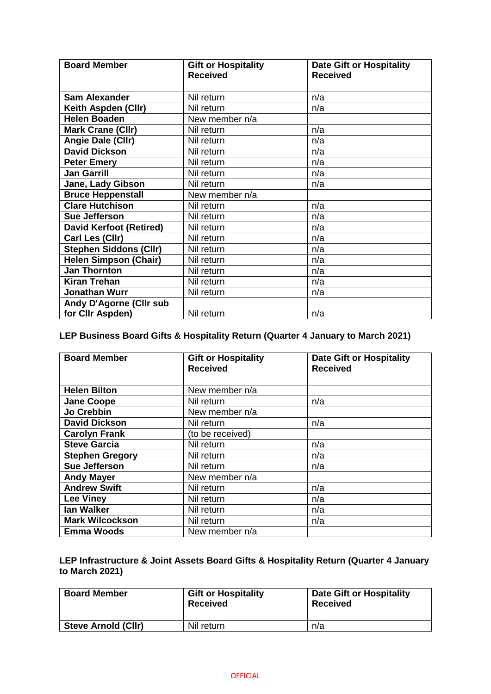| <b>Board Member</b>            | <b>Gift or Hospitality</b> | <b>Date Gift or Hospitality</b> |
|--------------------------------|----------------------------|---------------------------------|
|                                | <b>Received</b>            | <b>Received</b>                 |
|                                |                            |                                 |
| <b>Sam Alexander</b>           | Nil return                 | n/a                             |
| Keith Aspden (Cllr)            | Nil return                 | n/a                             |
| <b>Helen Boaden</b>            | New member n/a             |                                 |
| <b>Mark Crane (Cllr)</b>       | Nil return                 | n/a                             |
| Angie Dale (Cllr)              | Nil return                 | n/a                             |
| David Dickson                  | Nil return                 | n/a                             |
| <b>Peter Emery</b>             | Nil return                 | n/a                             |
| <b>Jan Garrill</b>             | Nil return                 | n/a                             |
| Jane, Lady Gibson              | Nil return                 | n/a                             |
| <b>Bruce Heppenstall</b>       | New member n/a             |                                 |
| <b>Clare Hutchison</b>         | Nil return                 | n/a                             |
| Sue Jefferson                  | Nil return                 | n/a                             |
| <b>David Kerfoot (Retired)</b> | Nil return                 | n/a                             |
| Carl Les (Cllr)                | Nil return                 | n/a                             |
| <b>Stephen Siddons (Cllr)</b>  | Nil return                 | n/a                             |
| <b>Helen Simpson (Chair)</b>   | Nil return                 | n/a                             |
| Jan Thornton                   | Nil return                 | n/a                             |
| <b>Kiran Trehan</b>            | Nil return                 | n/a                             |
| <b>Jonathan Wurr</b>           | Nil return                 | n/a                             |
| <b>Andy D'Agorne (Cllr sub</b> |                            |                                 |
| for Cllr Aspden)               | Nil return                 | n/a                             |

## **LEP Business Board Gifts & Hospitality Return (Quarter 4 January to March 2021)**

| <b>Board Member</b>    | <b>Gift or Hospitality</b><br><b>Received</b> | <b>Date Gift or Hospitality</b><br><b>Received</b> |
|------------------------|-----------------------------------------------|----------------------------------------------------|
|                        |                                               |                                                    |
| <b>Helen Bilton</b>    | New member n/a                                |                                                    |
| <b>Jane Coope</b>      | Nil return                                    | n/a                                                |
| Jo Crebbin             | New member n/a                                |                                                    |
| <b>David Dickson</b>   | Nil return                                    | n/a                                                |
| <b>Carolyn Frank</b>   | (to be received)                              |                                                    |
| <b>Steve Garcia</b>    | Nil return                                    | n/a                                                |
| <b>Stephen Gregory</b> | Nil return                                    | n/a                                                |
| <b>Sue Jefferson</b>   | Nil return                                    | n/a                                                |
| <b>Andy Mayer</b>      | New member n/a                                |                                                    |
| <b>Andrew Swift</b>    | Nil return                                    | n/a                                                |
| <b>Lee Viney</b>       | Nil return                                    | n/a                                                |
| <b>lan Walker</b>      | Nil return                                    | n/a                                                |
| <b>Mark Wilcockson</b> | Nil return                                    | n/a                                                |
| <b>Emma Woods</b>      | New member n/a                                |                                                    |

### **LEP Infrastructure & Joint Assets Board Gifts & Hospitality Return (Quarter 4 January to March 2021)**

| <b>Board Member</b>        | <b>Gift or Hospitality</b><br><b>Received</b> | <b>Date Gift or Hospitality</b><br><b>Received</b> |
|----------------------------|-----------------------------------------------|----------------------------------------------------|
| <b>Steve Arnold (CIIr)</b> | Nil return                                    | n/a                                                |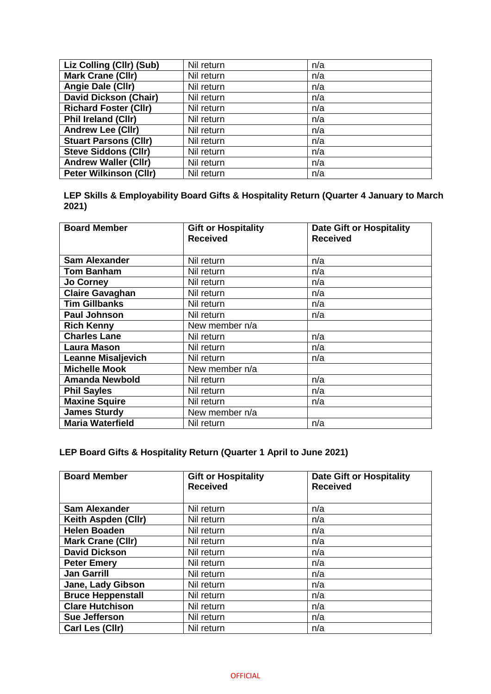| Liz Colling (Cllr) (Sub)      | Nil return | n/a |
|-------------------------------|------------|-----|
| <b>Mark Crane (Cllr)</b>      | Nil return | n/a |
| Angie Dale (Cllr)             | Nil return | n/a |
| <b>David Dickson (Chair)</b>  | Nil return | n/a |
| <b>Richard Foster (Cllr)</b>  | Nil return | n/a |
| <b>Phil Ireland (CIIr)</b>    | Nil return | n/a |
| <b>Andrew Lee (Cllr)</b>      | Nil return | n/a |
| <b>Stuart Parsons (Cllr)</b>  | Nil return | n/a |
| <b>Steve Siddons (Cllr)</b>   | Nil return | n/a |
| <b>Andrew Waller (Cllr)</b>   | Nil return | n/a |
| <b>Peter Wilkinson (Cllr)</b> | Nil return | n/a |

**LEP Skills & Employability Board Gifts & Hospitality Return (Quarter 4 January to March 2021)**

| <b>Board Member</b>       | <b>Gift or Hospitality</b><br><b>Received</b> | <b>Date Gift or Hospitality</b><br><b>Received</b> |
|---------------------------|-----------------------------------------------|----------------------------------------------------|
| <b>Sam Alexander</b>      | Nil return                                    | n/a                                                |
| <b>Tom Banham</b>         | Nil return                                    | n/a                                                |
| <b>Jo Corney</b>          | Nil return                                    | n/a                                                |
| <b>Claire Gavaghan</b>    | Nil return                                    | n/a                                                |
| <b>Tim Gillbanks</b>      | Nil return                                    | n/a                                                |
| <b>Paul Johnson</b>       | Nil return                                    | n/a                                                |
| <b>Rich Kenny</b>         | New member n/a                                |                                                    |
| <b>Charles Lane</b>       | Nil return                                    | n/a                                                |
| <b>Laura Mason</b>        | Nil return                                    | n/a                                                |
| <b>Leanne Misaljevich</b> | Nil return                                    | n/a                                                |
| <b>Michelle Mook</b>      | New member n/a                                |                                                    |
| <b>Amanda Newbold</b>     | Nil return                                    | n/a                                                |
| <b>Phil Sayles</b>        | Nil return                                    | n/a                                                |
| <b>Maxine Squire</b>      | Nil return                                    | n/a                                                |
| <b>James Sturdy</b>       | New member n/a                                |                                                    |
| <b>Maria Waterfield</b>   | Nil return                                    | n/a                                                |

## **LEP Board Gifts & Hospitality Return (Quarter 1 April to June 2021)**

| <b>Board Member</b>      | <b>Gift or Hospitality</b><br><b>Received</b> | <b>Date Gift or Hospitality</b><br><b>Received</b> |
|--------------------------|-----------------------------------------------|----------------------------------------------------|
|                          |                                               |                                                    |
| <b>Sam Alexander</b>     | Nil return                                    | n/a                                                |
| Keith Aspden (Cllr)      | Nil return                                    | n/a                                                |
| <b>Helen Boaden</b>      | Nil return                                    | n/a                                                |
| <b>Mark Crane (Cllr)</b> | Nil return                                    | n/a                                                |
| <b>David Dickson</b>     | Nil return                                    | n/a                                                |
| <b>Peter Emery</b>       | Nil return                                    | n/a                                                |
| <b>Jan Garrill</b>       | Nil return                                    | n/a                                                |
| Jane, Lady Gibson        | Nil return                                    | n/a                                                |
| <b>Bruce Heppenstall</b> | Nil return                                    | n/a                                                |
| <b>Clare Hutchison</b>   | Nil return                                    | n/a                                                |
| Sue Jefferson            | Nil return                                    | n/a                                                |
| Carl Les (Cllr)          | Nil return                                    | n/a                                                |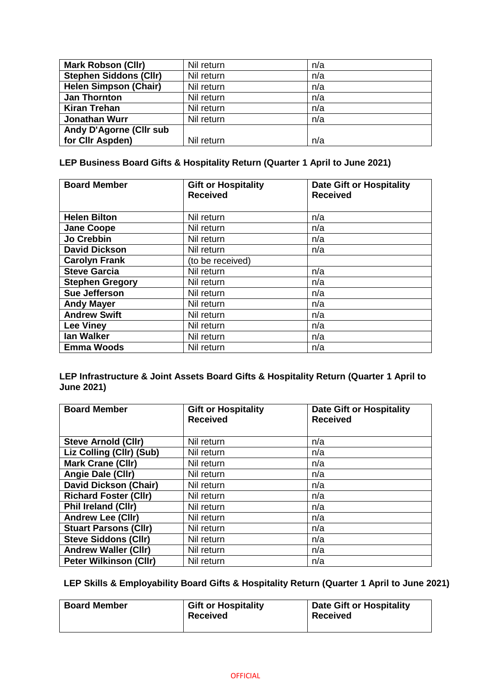| <b>Mark Robson (Cllr)</b>     | Nil return | n/a |
|-------------------------------|------------|-----|
| <b>Stephen Siddons (Cllr)</b> | Nil return | n/a |
| <b>Helen Simpson (Chair)</b>  | Nil return | n/a |
| <b>Jan Thornton</b>           | Nil return | n/a |
| <b>Kiran Trehan</b>           | Nil return | n/a |
| <b>Jonathan Wurr</b>          | Nil return | n/a |
| Andy D'Agorne (Cllr sub       |            |     |
| for CIIr Aspden)              | Nil return | n/a |

## **LEP Business Board Gifts & Hospitality Return (Quarter 1 April to June 2021)**

| <b>Board Member</b>    | <b>Gift or Hospitality</b><br><b>Received</b> | <b>Date Gift or Hospitality</b><br><b>Received</b> |
|------------------------|-----------------------------------------------|----------------------------------------------------|
| <b>Helen Bilton</b>    | Nil return                                    | n/a                                                |
| <b>Jane Coope</b>      | Nil return                                    | n/a                                                |
| Jo Crebbin             | Nil return                                    | n/a                                                |
| <b>David Dickson</b>   | Nil return                                    | n/a                                                |
| <b>Carolyn Frank</b>   | (to be received)                              |                                                    |
| <b>Steve Garcia</b>    | Nil return                                    | n/a                                                |
| <b>Stephen Gregory</b> | Nil return                                    | n/a                                                |
| Sue Jefferson          | Nil return                                    | n/a                                                |
| <b>Andy Mayer</b>      | Nil return                                    | n/a                                                |
| <b>Andrew Swift</b>    | Nil return                                    | n/a                                                |
| <b>Lee Viney</b>       | Nil return                                    | n/a                                                |
| <b>lan Walker</b>      | Nil return                                    | n/a                                                |
| <b>Emma Woods</b>      | Nil return                                    | n/a                                                |

#### **LEP Infrastructure & Joint Assets Board Gifts & Hospitality Return (Quarter 1 April to June 2021)**

| <b>Board Member</b>           | <b>Gift or Hospitality</b><br><b>Received</b> | <b>Date Gift or Hospitality</b><br><b>Received</b> |
|-------------------------------|-----------------------------------------------|----------------------------------------------------|
| <b>Steve Arnold (Cllr)</b>    | Nil return                                    | n/a                                                |
| Liz Colling (Cllr) (Sub)      | Nil return                                    | n/a                                                |
| <b>Mark Crane (Cllr)</b>      | Nil return                                    | n/a                                                |
| Angie Dale (Cllr)             | Nil return                                    | n/a                                                |
| <b>David Dickson (Chair)</b>  | Nil return                                    | n/a                                                |
| <b>Richard Foster (Cllr)</b>  | Nil return                                    | n/a                                                |
| <b>Phil Ireland (CIIr)</b>    | Nil return                                    | n/a                                                |
| <b>Andrew Lee (Cllr)</b>      | Nil return                                    | n/a                                                |
| <b>Stuart Parsons (Cllr)</b>  | Nil return                                    | n/a                                                |
| <b>Steve Siddons (Cllr)</b>   | Nil return                                    | n/a                                                |
| <b>Andrew Waller (Cllr)</b>   | Nil return                                    | n/a                                                |
| <b>Peter Wilkinson (Cllr)</b> | Nil return                                    | n/a                                                |

## **LEP Skills & Employability Board Gifts & Hospitality Return (Quarter 1 April to June 2021)**

| <b>Board Member</b> | <b>Gift or Hospitality</b><br><b>Received</b> | <b>Date Gift or Hospitality</b><br><b>Received</b> |
|---------------------|-----------------------------------------------|----------------------------------------------------|
|                     |                                               |                                                    |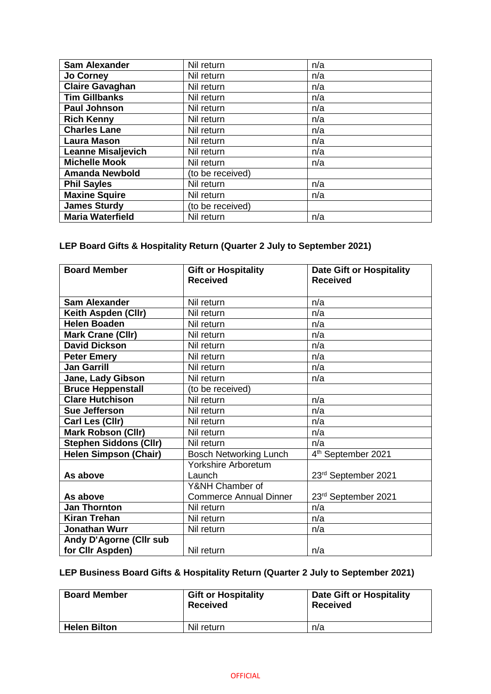| <b>Sam Alexander</b>      | Nil return       | n/a |
|---------------------------|------------------|-----|
| <b>Jo Corney</b>          | Nil return       | n/a |
| Claire Gavaghan           | Nil return       | n/a |
| <b>Tim Gillbanks</b>      | Nil return       | n/a |
| <b>Paul Johnson</b>       | Nil return       | n/a |
| <b>Rich Kenny</b>         | Nil return       | n/a |
| <b>Charles Lane</b>       | Nil return       | n/a |
| <b>Laura Mason</b>        | Nil return       | n/a |
| <b>Leanne Misaljevich</b> | Nil return       | n/a |
| <b>Michelle Mook</b>      | Nil return       | n/a |
| <b>Amanda Newbold</b>     | (to be received) |     |
| <b>Phil Sayles</b>        | Nil return       | n/a |
| <b>Maxine Squire</b>      | Nil return       | n/a |
| <b>James Sturdy</b>       | (to be received) |     |
| <b>Maria Waterfield</b>   | Nil return       | n/a |

## **LEP Board Gifts & Hospitality Return (Quarter 2 July to September 2021)**

| <b>Board Member</b>           | <b>Gift or Hospitality</b><br><b>Received</b> | <b>Date Gift or Hospitality</b><br><b>Received</b> |
|-------------------------------|-----------------------------------------------|----------------------------------------------------|
| <b>Sam Alexander</b>          | Nil return                                    | n/a                                                |
| Keith Aspden (Cllr)           | Nil return                                    | n/a                                                |
| <b>Helen Boaden</b>           | Nil return                                    | n/a                                                |
| <b>Mark Crane (Cllr)</b>      | Nil return                                    | n/a                                                |
| <b>David Dickson</b>          | Nil return                                    | n/a                                                |
| <b>Peter Emery</b>            | Nil return                                    | n/a                                                |
| <b>Jan Garrill</b>            | Nil return                                    | n/a                                                |
| Jane, Lady Gibson             | Nil return                                    | n/a                                                |
| <b>Bruce Heppenstall</b>      | (to be received)                              |                                                    |
| <b>Clare Hutchison</b>        | Nil return                                    | n/a                                                |
| <b>Sue Jefferson</b>          | Nil return                                    | n/a                                                |
| Carl Les (Cllr)               | Nil return                                    | n/a                                                |
| <b>Mark Robson (Cllr)</b>     | Nil return                                    | n/a                                                |
| <b>Stephen Siddons (Cllr)</b> | Nil return                                    | n/a                                                |
| <b>Helen Simpson (Chair)</b>  | <b>Bosch Networking Lunch</b>                 | 4 <sup>th</sup> September 2021                     |
|                               | Yorkshire Arboretum                           |                                                    |
| As above                      | Launch                                        | 23rd September 2021                                |
|                               | Y&NH Chamber of                               |                                                    |
| As above                      | <b>Commerce Annual Dinner</b>                 | 23rd September 2021                                |
| <b>Jan Thornton</b>           | Nil return                                    | n/a                                                |
| <b>Kiran Trehan</b>           | Nil return                                    | n/a                                                |
| Jonathan Wurr                 | Nil return                                    | n/a                                                |
| Andy D'Agorne (Cllr sub       |                                               |                                                    |
| for Cllr Aspden)              | Nil return                                    | n/a                                                |

## **LEP Business Board Gifts & Hospitality Return (Quarter 2 July to September 2021)**

| <b>Board Member</b> | <b>Gift or Hospitality</b><br><b>Received</b> | <b>Date Gift or Hospitality</b><br>Received |
|---------------------|-----------------------------------------------|---------------------------------------------|
| <b>Helen Bilton</b> | Nil return                                    | n/a                                         |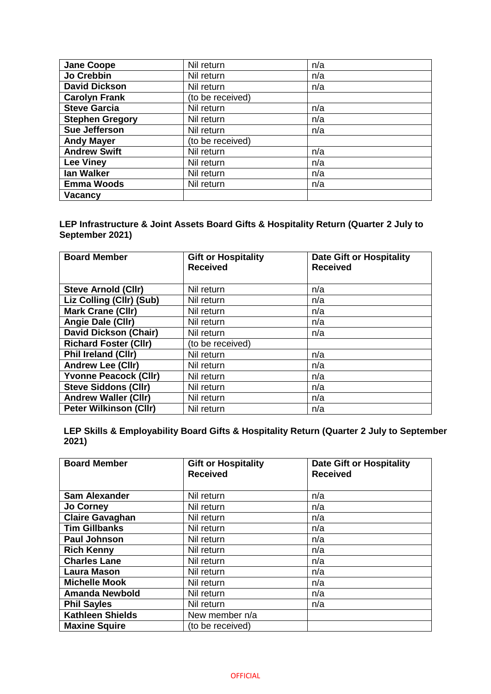| <b>Jane Coope</b>      | Nil return       | n/a |
|------------------------|------------------|-----|
| Jo Crebbin             | Nil return       | n/a |
| <b>David Dickson</b>   | Nil return       | n/a |
| <b>Carolyn Frank</b>   | (to be received) |     |
| <b>Steve Garcia</b>    | Nil return       | n/a |
| <b>Stephen Gregory</b> | Nil return       | n/a |
| Sue Jefferson          | Nil return       | n/a |
| <b>Andy Mayer</b>      | (to be received) |     |
| <b>Andrew Swift</b>    | Nil return       | n/a |
| <b>Lee Viney</b>       | Nil return       | n/a |
| lan Walker             | Nil return       | n/a |
| <b>Emma Woods</b>      | Nil return       | n/a |
| <b>Vacancy</b>         |                  |     |

#### **LEP Infrastructure & Joint Assets Board Gifts & Hospitality Return (Quarter 2 July to September 2021)**

| <b>Board Member</b>           | <b>Gift or Hospitality</b> | <b>Date Gift or Hospitality</b> |
|-------------------------------|----------------------------|---------------------------------|
|                               | <b>Received</b>            | <b>Received</b>                 |
|                               |                            |                                 |
| <b>Steve Arnold (CIIr)</b>    | Nil return                 | n/a                             |
| Liz Colling (Cllr) (Sub)      | Nil return                 | n/a                             |
| <b>Mark Crane (Cllr)</b>      | Nil return                 | n/a                             |
| Angie Dale (Cllr)             | Nil return                 | n/a                             |
| <b>David Dickson (Chair)</b>  | Nil return                 | n/a                             |
| <b>Richard Foster (Cllr)</b>  | (to be received)           |                                 |
| <b>Phil Ireland (CIIr)</b>    | Nil return                 | n/a                             |
| <b>Andrew Lee (Cllr)</b>      | Nil return                 | n/a                             |
| <b>Yvonne Peacock (Cllr)</b>  | Nil return                 | n/a                             |
| <b>Steve Siddons (Cllr)</b>   | Nil return                 | n/a                             |
| <b>Andrew Waller (Cllr)</b>   | Nil return                 | n/a                             |
| <b>Peter Wilkinson (Cllr)</b> | Nil return                 | n/a                             |

| LEP Skills & Employability Board Gifts & Hospitality Return (Quarter 2 July to September |  |  |
|------------------------------------------------------------------------------------------|--|--|
| 2021)                                                                                    |  |  |

| <b>Board Member</b>     | <b>Gift or Hospitality</b><br><b>Received</b> | <b>Date Gift or Hospitality</b><br><b>Received</b> |
|-------------------------|-----------------------------------------------|----------------------------------------------------|
| <b>Sam Alexander</b>    | Nil return                                    | n/a                                                |
| <b>Jo Corney</b>        | Nil return                                    | n/a                                                |
| <b>Claire Gavaghan</b>  | Nil return                                    | n/a                                                |
| <b>Tim Gillbanks</b>    | Nil return                                    | n/a                                                |
| <b>Paul Johnson</b>     | Nil return                                    | n/a                                                |
| <b>Rich Kenny</b>       | Nil return                                    | n/a                                                |
| <b>Charles Lane</b>     | Nil return                                    | n/a                                                |
| <b>Laura Mason</b>      | Nil return                                    | n/a                                                |
| <b>Michelle Mook</b>    | Nil return                                    | n/a                                                |
| <b>Amanda Newbold</b>   | Nil return                                    | n/a                                                |
| <b>Phil Sayles</b>      | Nil return                                    | n/a                                                |
| <b>Kathleen Shields</b> | New member n/a                                |                                                    |
| <b>Maxine Squire</b>    | (to be received)                              |                                                    |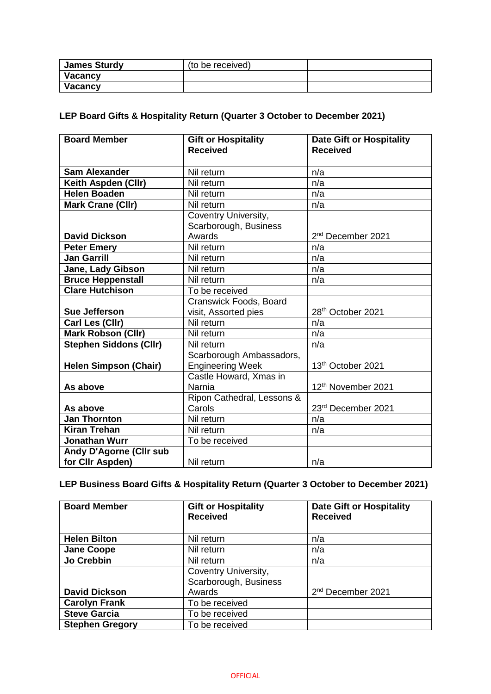| James Sturdy   | (to be received) |  |
|----------------|------------------|--|
| <b>Vacancy</b> |                  |  |
| Vacancy        |                  |  |

## **LEP Board Gifts & Hospitality Return (Quarter 3 October to December 2021)**

| <b>Board Member</b>           | <b>Gift or Hospitality</b><br><b>Received</b>       | <b>Date Gift or Hospitality</b><br><b>Received</b> |
|-------------------------------|-----------------------------------------------------|----------------------------------------------------|
| <b>Sam Alexander</b>          | Nil return                                          | n/a                                                |
| Keith Aspden (Cllr)           | Nil return                                          | n/a                                                |
| <b>Helen Boaden</b>           | Nil return                                          | n/a                                                |
| <b>Mark Crane (Cllr)</b>      | Nil return                                          | n/a                                                |
|                               | Coventry University,                                |                                                    |
|                               | Scarborough, Business                               |                                                    |
| <b>David Dickson</b>          | Awards                                              | 2 <sup>nd</sup> December 2021                      |
| <b>Peter Emery</b>            | Nil return                                          | n/a                                                |
| <b>Jan Garrill</b>            | Nil return                                          | n/a                                                |
| Jane, Lady Gibson             | Nil return                                          | n/a                                                |
| <b>Bruce Heppenstall</b>      | Nil return                                          | n/a                                                |
| <b>Clare Hutchison</b>        | To be received                                      |                                                    |
|                               | Cranswick Foods, Board                              |                                                    |
| Sue Jefferson                 | visit, Assorted pies                                | 28 <sup>th</sup> October 2021                      |
| Carl Les (Cllr)               | Nil return                                          | n/a                                                |
| <b>Mark Robson (Cllr)</b>     | Nil return                                          | n/a                                                |
| <b>Stephen Siddons (Cllr)</b> | Nil return                                          | n/a                                                |
| <b>Helen Simpson (Chair)</b>  | Scarborough Ambassadors,<br><b>Engineering Week</b> | 13th October 2021                                  |
| As above                      | Castle Howard, Xmas in<br>Narnia                    | 12th November 2021                                 |
|                               | Ripon Cathedral, Lessons &                          |                                                    |
| As above                      | Carols                                              | 23rd December 2021                                 |
| <b>Jan Thornton</b>           | Nil return                                          | n/a                                                |
| <b>Kiran Trehan</b>           | Nil return                                          | n/a                                                |
| Jonathan Wurr                 | To be received                                      |                                                    |
| Andy D'Agorne (Cllr sub       |                                                     |                                                    |
| for Cllr Aspden)              | Nil return                                          | n/a                                                |

## **LEP Business Board Gifts & Hospitality Return (Quarter 3 October to December 2021)**

| <b>Board Member</b>    | <b>Gift or Hospitality</b><br><b>Received</b> | <b>Date Gift or Hospitality</b><br><b>Received</b> |
|------------------------|-----------------------------------------------|----------------------------------------------------|
| <b>Helen Bilton</b>    | Nil return                                    | n/a                                                |
| <b>Jane Coope</b>      | Nil return                                    | n/a                                                |
| Jo Crebbin             | Nil return                                    | n/a                                                |
|                        | Coventry University,<br>Scarborough, Business |                                                    |
| <b>David Dickson</b>   | Awards                                        | 2 <sup>nd</sup> December 2021                      |
| <b>Carolyn Frank</b>   | To be received                                |                                                    |
| <b>Steve Garcia</b>    | To be received                                |                                                    |
| <b>Stephen Gregory</b> | To be received                                |                                                    |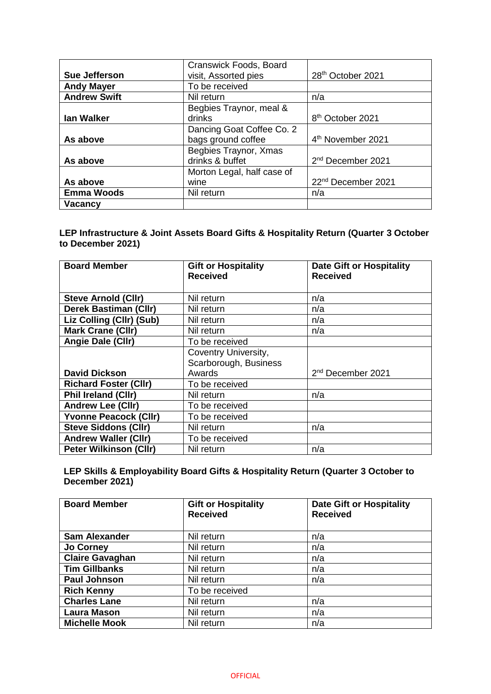|                      | Cranswick Foods, Board     |                                |
|----------------------|----------------------------|--------------------------------|
| <b>Sue Jefferson</b> | visit, Assorted pies       | 28 <sup>th</sup> October 2021  |
| <b>Andy Mayer</b>    | To be received             |                                |
| <b>Andrew Swift</b>  | Nil return                 | n/a                            |
|                      | Begbies Traynor, meal &    |                                |
| lan Walker           | drinks                     | 8 <sup>th</sup> October 2021   |
|                      | Dancing Goat Coffee Co. 2  |                                |
| As above             | bags ground coffee         | 4 <sup>th</sup> November 2021  |
|                      | Begbies Traynor, Xmas      |                                |
| As above             | drinks & buffet            | 2 <sup>nd</sup> December 2021  |
|                      | Morton Legal, half case of |                                |
| As above             | wine                       | 22 <sup>nd</sup> December 2021 |
| <b>Emma Woods</b>    | Nil return                 | n/a                            |
| Vacancy              |                            |                                |

**LEP Infrastructure & Joint Assets Board Gifts & Hospitality Return (Quarter 3 October to December 2021)**

| <b>Board Member</b>           | <b>Gift or Hospitality</b><br><b>Received</b> | <b>Date Gift or Hospitality</b><br><b>Received</b> |
|-------------------------------|-----------------------------------------------|----------------------------------------------------|
|                               |                                               |                                                    |
| <b>Steve Arnold (Cllr)</b>    | Nil return                                    | n/a                                                |
| <b>Derek Bastiman (Cllr)</b>  | Nil return                                    | n/a                                                |
| Liz Colling (Cllr) (Sub)      | Nil return                                    | n/a                                                |
| <b>Mark Crane (Cllr)</b>      | Nil return                                    | n/a                                                |
| Angie Dale (Cllr)             | To be received                                |                                                    |
|                               | Coventry University,                          |                                                    |
|                               | Scarborough, Business                         |                                                    |
| <b>David Dickson</b>          | Awards                                        | 2 <sup>nd</sup> December 2021                      |
| <b>Richard Foster (CIIr)</b>  | To be received                                |                                                    |
| <b>Phil Ireland (CIIr)</b>    | Nil return                                    | n/a                                                |
| <b>Andrew Lee (Cllr)</b>      | To be received                                |                                                    |
| <b>Yvonne Peacock (Cllr)</b>  | To be received                                |                                                    |
| <b>Steve Siddons (Cllr)</b>   | Nil return                                    | n/a                                                |
| <b>Andrew Waller (Cllr)</b>   | To be received                                |                                                    |
| <b>Peter Wilkinson (Cllr)</b> | Nil return                                    | n/a                                                |

**LEP Skills & Employability Board Gifts & Hospitality Return (Quarter 3 October to December 2021)**

| <b>Board Member</b>    | <b>Gift or Hospitality</b><br><b>Received</b> | <b>Date Gift or Hospitality</b><br><b>Received</b> |
|------------------------|-----------------------------------------------|----------------------------------------------------|
| <b>Sam Alexander</b>   | Nil return                                    | n/a                                                |
| <b>Jo Corney</b>       | Nil return                                    | n/a                                                |
| <b>Claire Gavaghan</b> | Nil return                                    | n/a                                                |
| <b>Tim Gillbanks</b>   | Nil return                                    | n/a                                                |
| <b>Paul Johnson</b>    | Nil return                                    | n/a                                                |
| <b>Rich Kenny</b>      | To be received                                |                                                    |
| <b>Charles Lane</b>    | Nil return                                    | n/a                                                |
| <b>Laura Mason</b>     | Nil return                                    | n/a                                                |
| <b>Michelle Mook</b>   | Nil return                                    | n/a                                                |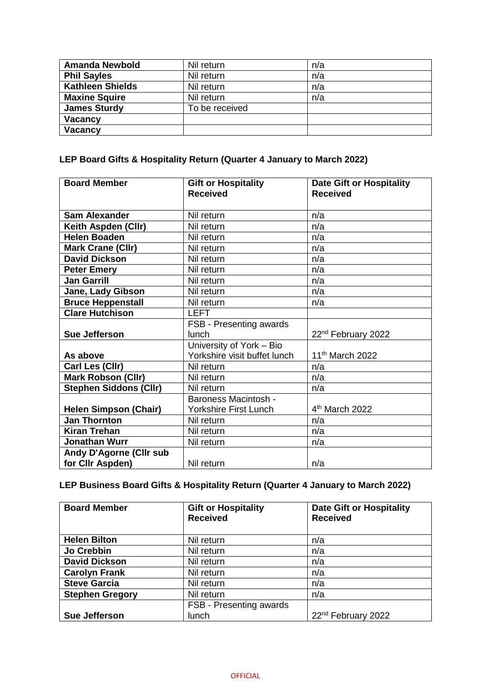| <b>Amanda Newbold</b>   | Nil return     | n/a |
|-------------------------|----------------|-----|
| <b>Phil Sayles</b>      | Nil return     | n/a |
| <b>Kathleen Shields</b> | Nil return     | n/a |
| <b>Maxine Squire</b>    | Nil return     | n/a |
| <b>James Sturdy</b>     | To be received |     |
| Vacancy                 |                |     |
| <b>Vacancy</b>          |                |     |

## **LEP Board Gifts & Hospitality Return (Quarter 4 January to March 2022)**

| <b>Board Member</b>                                | <b>Gift or Hospitality</b><br><b>Received</b>            | <b>Date Gift or Hospitality</b><br><b>Received</b> |
|----------------------------------------------------|----------------------------------------------------------|----------------------------------------------------|
| <b>Sam Alexander</b>                               | Nil return                                               | n/a                                                |
| Keith Aspden (Cllr)                                | Nil return                                               | n/a                                                |
| <b>Helen Boaden</b>                                | Nil return                                               | n/a                                                |
| Mark Crane (Cllr)                                  | Nil return                                               | n/a                                                |
| <b>David Dickson</b>                               | Nil return                                               | n/a                                                |
| <b>Peter Emery</b>                                 | Nil return                                               | n/a                                                |
| <b>Jan Garrill</b>                                 | Nil return                                               | n/a                                                |
| Jane, Lady Gibson                                  | Nil return                                               | n/a                                                |
| <b>Bruce Heppenstall</b>                           | Nil return                                               | n/a                                                |
| <b>Clare Hutchison</b>                             | <b>LEFT</b>                                              |                                                    |
| <b>Sue Jefferson</b>                               | FSB - Presenting awards<br>lunch                         | 22 <sup>nd</sup> February 2022                     |
| As above                                           | University of York - Bio<br>Yorkshire visit buffet lunch | 11 <sup>th</sup> March 2022                        |
| Carl Les (Cllr)                                    | Nil return                                               | n/a                                                |
| <b>Mark Robson (Cllr)</b>                          | Nil return                                               | n/a                                                |
| <b>Stephen Siddons (Cllr)</b>                      | Nil return                                               | n/a                                                |
| <b>Helen Simpson (Chair)</b>                       | <b>Baroness Macintosh -</b><br>Yorkshire First Lunch     | 4 <sup>th</sup> March 2022                         |
| <b>Jan Thornton</b>                                | Nil return                                               | n/a                                                |
| <b>Kiran Trehan</b>                                | Nil return                                               | n/a                                                |
| <b>Jonathan Wurr</b>                               | Nil return                                               | n/a                                                |
| <b>Andy D'Agorne (Cllr sub</b><br>for Cllr Aspden) | Nil return                                               | n/a                                                |

## **LEP Business Board Gifts & Hospitality Return (Quarter 4 January to March 2022)**

| <b>Board Member</b>    | <b>Gift or Hospitality</b><br><b>Received</b> | <b>Date Gift or Hospitality</b><br><b>Received</b> |
|------------------------|-----------------------------------------------|----------------------------------------------------|
| <b>Helen Bilton</b>    | Nil return                                    | n/a                                                |
| Jo Crebbin             |                                               |                                                    |
|                        | Nil return                                    | n/a                                                |
| <b>David Dickson</b>   | Nil return                                    | n/a                                                |
| <b>Carolyn Frank</b>   | Nil return                                    | n/a                                                |
| <b>Steve Garcia</b>    | Nil return                                    | n/a                                                |
| <b>Stephen Gregory</b> | Nil return                                    | n/a                                                |
|                        | FSB - Presenting awards                       |                                                    |
| <b>Sue Jefferson</b>   | lunch                                         | 22 <sup>nd</sup> February 2022                     |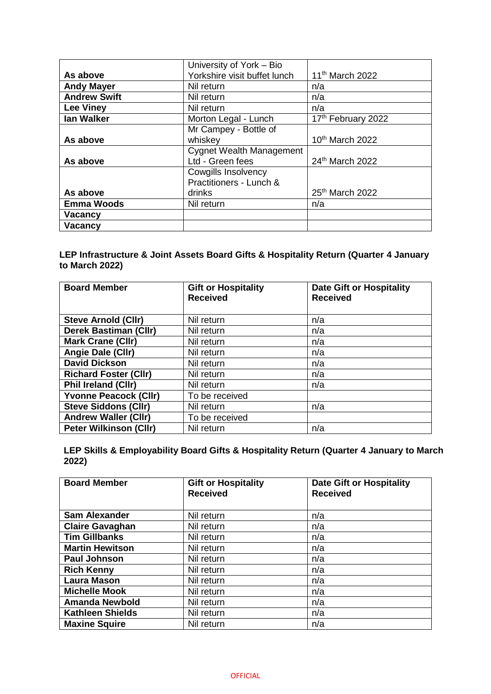|                     | University of York - Bio        |                             |
|---------------------|---------------------------------|-----------------------------|
| As above            | Yorkshire visit buffet lunch    | 11 <sup>th</sup> March 2022 |
| <b>Andy Mayer</b>   | Nil return                      | n/a                         |
| <b>Andrew Swift</b> | Nil return                      | n/a                         |
| <b>Lee Viney</b>    | Nil return                      | n/a                         |
| lan Walker          | Morton Legal - Lunch            | 17th February 2022          |
|                     | Mr Campey - Bottle of           |                             |
| As above            | whiskey                         | 10 <sup>th</sup> March 2022 |
|                     | <b>Cygnet Wealth Management</b> |                             |
| As above            | Ltd - Green fees                | 24th March 2022             |
|                     | <b>Cowgills Insolvency</b>      |                             |
|                     | Practitioners - Lunch &         |                             |
| As above            | drinks                          | 25 <sup>th</sup> March 2022 |
| <b>Emma Woods</b>   | Nil return                      | n/a                         |
| <b>Vacancy</b>      |                                 |                             |
| <b>Vacancy</b>      |                                 |                             |

#### **LEP Infrastructure & Joint Assets Board Gifts & Hospitality Return (Quarter 4 January to March 2022)**

| <b>Board Member</b>           | <b>Gift or Hospitality</b><br><b>Received</b> | <b>Date Gift or Hospitality</b><br><b>Received</b> |
|-------------------------------|-----------------------------------------------|----------------------------------------------------|
| <b>Steve Arnold (CIIr)</b>    | Nil return                                    | n/a                                                |
| <b>Derek Bastiman (Cllr)</b>  | Nil return                                    | n/a                                                |
| <b>Mark Crane (Cllr)</b>      | Nil return                                    | n/a                                                |
| Angie Dale (Cllr)             | Nil return                                    | n/a                                                |
| <b>David Dickson</b>          | Nil return                                    | n/a                                                |
| <b>Richard Foster (Cllr)</b>  | Nil return                                    | n/a                                                |
| <b>Phil Ireland (CIIr)</b>    | Nil return                                    | n/a                                                |
| <b>Yvonne Peacock (Cllr)</b>  | To be received                                |                                                    |
| <b>Steve Siddons (Cllr)</b>   | Nil return                                    | n/a                                                |
| <b>Andrew Waller (Cllr)</b>   | To be received                                |                                                    |
| <b>Peter Wilkinson (Cllr)</b> | Nil return                                    | n/a                                                |

**LEP Skills & Employability Board Gifts & Hospitality Return (Quarter 4 January to March 2022)**

| <b>Board Member</b>     | <b>Gift or Hospitality</b><br><b>Received</b> | <b>Date Gift or Hospitality</b><br><b>Received</b> |
|-------------------------|-----------------------------------------------|----------------------------------------------------|
| <b>Sam Alexander</b>    | Nil return                                    | n/a                                                |
| <b>Claire Gavaghan</b>  | Nil return                                    | n/a                                                |
| Tim Gillbanks           | Nil return                                    | n/a                                                |
| <b>Martin Hewitson</b>  | Nil return                                    | n/a                                                |
| <b>Paul Johnson</b>     | Nil return                                    | n/a                                                |
| <b>Rich Kenny</b>       | Nil return                                    | n/a                                                |
| <b>Laura Mason</b>      | Nil return                                    | n/a                                                |
| <b>Michelle Mook</b>    | Nil return                                    | n/a                                                |
| <b>Amanda Newbold</b>   | Nil return                                    | n/a                                                |
| <b>Kathleen Shields</b> | Nil return                                    | n/a                                                |
| <b>Maxine Squire</b>    | Nil return                                    | n/a                                                |